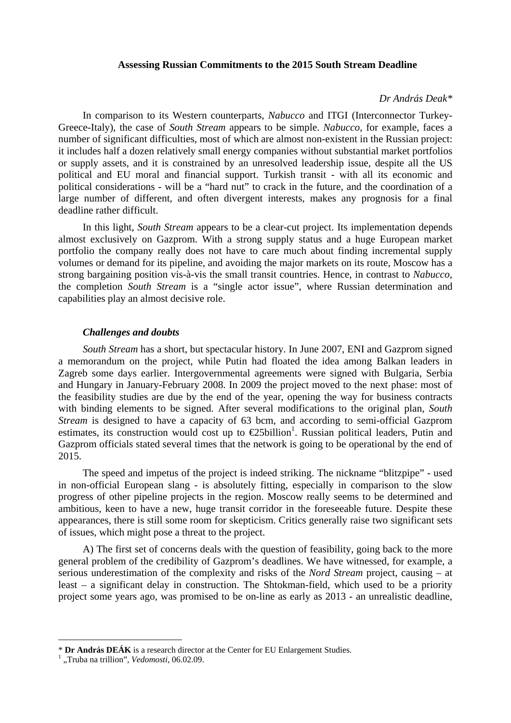### **Assessing Russian Commitments to the 2015 South Stream Deadline**

#### *Dr András Deak\**

In comparison to its Western counterparts, *Nabucco* and ITGI (Interconnector Turkey-Greece-Italy), the case of *South Stream* appears to be simple. *Nabucco*, for example, faces a number of significant difficulties, most of which are almost non-existent in the Russian project: it includes half a dozen relatively small energy companies without substantial market portfolios or supply assets, and it is constrained by an unresolved leadership issue, despite all the US political and EU moral and financial support. Turkish transit - with all its economic and political considerations - will be a "hard nut" to crack in the future, and the coordination of a large number of different, and often divergent interests, makes any prognosis for a final deadline rather difficult.

In this light, *South Stream* appears to be a clear-cut project. Its implementation depends almost exclusively on Gazprom. With a strong supply status and a huge European market portfolio the company really does not have to care much about finding incremental supply volumes or demand for its pipeline, and avoiding the major markets on its route, Moscow has a strong bargaining position vis-à-vis the small transit countries. Hence, in contrast to *Nabucco*, the completion *South Stream* is a "single actor issue", where Russian determination and capabilities play an almost decisive role.

### *Challenges and doubts*

*South Stream* has a short, but spectacular history. In June 2007, ENI and Gazprom signed a memorandum on the project, while Putin had floated the idea among Balkan leaders in Zagreb some days earlier. Intergovernmental agreements were signed with Bulgaria, Serbia and Hungary in January-February 2008. In 2009 the project moved to the next phase: most of the feasibility studies are due by the end of the year, opening the way for business contracts with binding elements to be signed. After several modifications to the original plan, *South Stream* is designed to have a capacity of 63 bcm, and according to semi-official Gazprom estimates, its construction would cost up to  $\epsilon$ 25billion<sup>1</sup>. Russian political leaders, Putin and Gazprom officials stated several times that the network is going to be operational by the end of 2015.

The speed and impetus of the project is indeed striking. The nickname "blitzpipe" - used in non-official European slang - is absolutely fitting, especially in comparison to the slow progress of other pipeline projects in the region. Moscow really seems to be determined and ambitious, keen to have a new, huge transit corridor in the foreseeable future. Despite these appearances, there is still some room for skepticism. Critics generally raise two significant sets of issues, which might pose a threat to the project.

A) The first set of concerns deals with the question of feasibility, going back to the more general problem of the credibility of Gazprom's deadlines. We have witnessed, for example, a serious underestimation of the complexity and risks of the *Nord Stream* project, causing – at least – a significant delay in construction. The Shtokman-field, which used to be a priority project some years ago, was promised to be on-line as early as 2013 - an unrealistic deadline,

<sup>\*</sup> **Dr András DEÁK** is a research director at the Center for EU Enlargement Studies. 1

 <sup>&</sup>quot;Truba na trillion", *Vedomosti*, 06.02.09.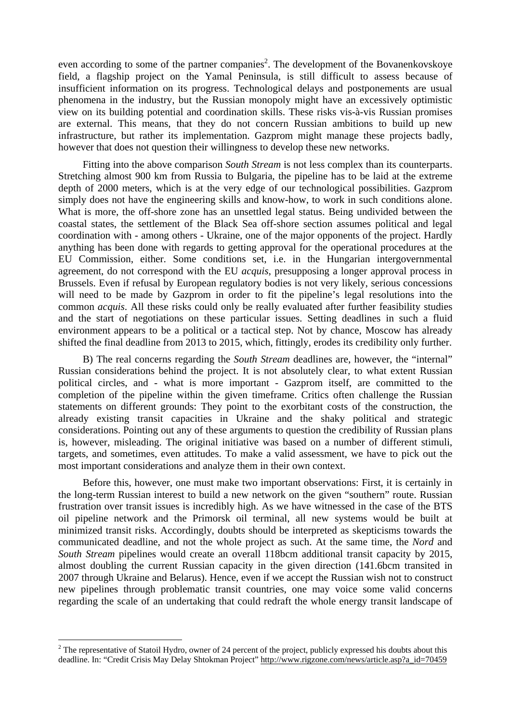even according to some of the partner companies<sup>2</sup>. The development of the Bovanenkovskoye field, a flagship project on the Yamal Peninsula, is still difficult to assess because of insufficient information on its progress. Technological delays and postponements are usual phenomena in the industry, but the Russian monopoly might have an excessively optimistic view on its building potential and coordination skills. These risks vis-à-vis Russian promises are external. This means, that they do not concern Russian ambitions to build up new infrastructure, but rather its implementation. Gazprom might manage these projects badly, however that does not question their willingness to develop these new networks.

Fitting into the above comparison *South Stream* is not less complex than its counterparts. Stretching almost 900 km from Russia to Bulgaria, the pipeline has to be laid at the extreme depth of 2000 meters, which is at the very edge of our technological possibilities. Gazprom simply does not have the engineering skills and know-how, to work in such conditions alone. What is more, the off-shore zone has an unsettled legal status. Being undivided between the coastal states, the settlement of the Black Sea off-shore section assumes political and legal coordination with - among others - Ukraine, one of the major opponents of the project. Hardly anything has been done with regards to getting approval for the operational procedures at the EU Commission, either. Some conditions set, i.e. in the Hungarian intergovernmental agreement, do not correspond with the EU *acquis*, presupposing a longer approval process in Brussels. Even if refusal by European regulatory bodies is not very likely, serious concessions will need to be made by Gazprom in order to fit the pipeline's legal resolutions into the common *acquis*. All these risks could only be really evaluated after further feasibility studies and the start of negotiations on these particular issues. Setting deadlines in such a fluid environment appears to be a political or a tactical step. Not by chance, Moscow has already shifted the final deadline from 2013 to 2015, which, fittingly, erodes its credibility only further.

B) The real concerns regarding the *South Stream* deadlines are, however, the "internal" Russian considerations behind the project. It is not absolutely clear, to what extent Russian political circles, and - what is more important - Gazprom itself, are committed to the completion of the pipeline within the given timeframe. Critics often challenge the Russian statements on different grounds: They point to the exorbitant costs of the construction, the already existing transit capacities in Ukraine and the shaky political and strategic considerations. Pointing out any of these arguments to question the credibility of Russian plans is, however, misleading. The original initiative was based on a number of different stimuli, targets, and sometimes, even attitudes. To make a valid assessment, we have to pick out the most important considerations and analyze them in their own context.

Before this, however, one must make two important observations: First, it is certainly in the long-term Russian interest to build a new network on the given "southern" route. Russian frustration over transit issues is incredibly high. As we have witnessed in the case of the BTS oil pipeline network and the Primorsk oil terminal, all new systems would be built at minimized transit risks. Accordingly, doubts should be interpreted as skepticisms towards the communicated deadline, and not the whole project as such. At the same time, the *Nord* and *South Stream* pipelines would create an overall 118bcm additional transit capacity by 2015, almost doubling the current Russian capacity in the given direction (141.6bcm transited in 2007 through Ukraine and Belarus). Hence, even if we accept the Russian wish not to construct new pipelines through problematic transit countries, one may voice some valid concerns regarding the scale of an undertaking that could redraft the whole energy transit landscape of

<sup>&</sup>lt;sup>2</sup> The representative of Statoil Hydro, owner of 24 percent of the project, publicly expressed his doubts about this deadline. In: "Credit Crisis May Delay Shtokman Project" http://www.rigzone.com/news/article.asp?a\_id=70459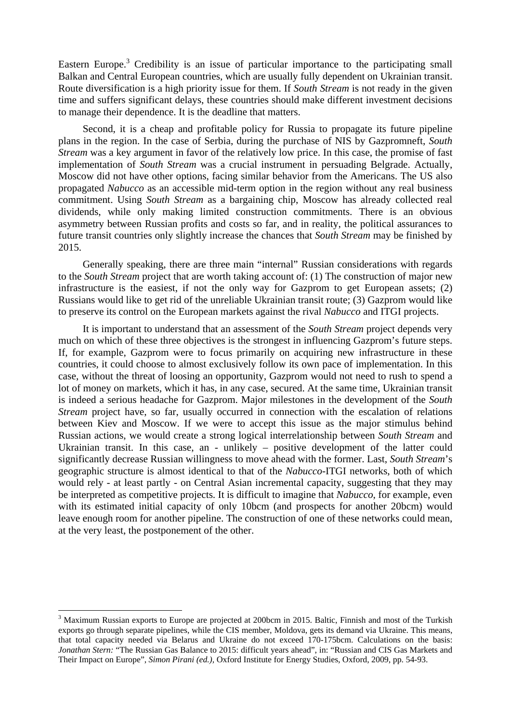Eastern Europe.<sup>3</sup> Credibility is an issue of particular importance to the participating small Balkan and Central European countries, which are usually fully dependent on Ukrainian transit. Route diversification is a high priority issue for them. If *South Stream* is not ready in the given time and suffers significant delays, these countries should make different investment decisions to manage their dependence. It is the deadline that matters.

Second, it is a cheap and profitable policy for Russia to propagate its future pipeline plans in the region. In the case of Serbia, during the purchase of NIS by Gazpromneft, *South Stream* was a key argument in favor of the relatively low price. In this case, the promise of fast implementation of *South Stream* was a crucial instrument in persuading Belgrade. Actually, Moscow did not have other options, facing similar behavior from the Americans. The US also propagated *Nabucco* as an accessible mid-term option in the region without any real business commitment. Using *South Stream* as a bargaining chip, Moscow has already collected real dividends, while only making limited construction commitments. There is an obvious asymmetry between Russian profits and costs so far, and in reality, the political assurances to future transit countries only slightly increase the chances that *South Stream* may be finished by 2015.

Generally speaking, there are three main "internal" Russian considerations with regards to the *South Stream* project that are worth taking account of: (1) The construction of major new infrastructure is the easiest, if not the only way for Gazprom to get European assets; (2) Russians would like to get rid of the unreliable Ukrainian transit route; (3) Gazprom would like to preserve its control on the European markets against the rival *Nabucco* and ITGI projects.

It is important to understand that an assessment of the *South Stream* project depends very much on which of these three objectives is the strongest in influencing Gazprom's future steps. If, for example, Gazprom were to focus primarily on acquiring new infrastructure in these countries, it could choose to almost exclusively follow its own pace of implementation. In this case, without the threat of loosing an opportunity, Gazprom would not need to rush to spend a lot of money on markets, which it has, in any case, secured. At the same time, Ukrainian transit is indeed a serious headache for Gazprom. Major milestones in the development of the *South Stream* project have, so far, usually occurred in connection with the escalation of relations between Kiev and Moscow. If we were to accept this issue as the major stimulus behind Russian actions, we would create a strong logical interrelationship between *South Stream* and Ukrainian transit. In this case, an - unlikely – positive development of the latter could significantly decrease Russian willingness to move ahead with the former. Last, *South Stream*'s geographic structure is almost identical to that of the *Nabucco*-ITGI networks, both of which would rely - at least partly - on Central Asian incremental capacity, suggesting that they may be interpreted as competitive projects. It is difficult to imagine that *Nabucco*, for example, even with its estimated initial capacity of only 10bcm (and prospects for another 20bcm) would leave enough room for another pipeline. The construction of one of these networks could mean, at the very least, the postponement of the other.

<sup>&</sup>lt;sup>3</sup> Maximum Russian exports to Europe are projected at 200bcm in 2015. Baltic, Finnish and most of the Turkish exports go through separate pipelines, while the CIS member, Moldova, gets its demand via Ukraine. This means, that total capacity needed via Belarus and Ukraine do not exceed 170-175bcm. Calculations on the basis: *Jonathan Stern:* "The Russian Gas Balance to 2015: difficult years ahead", in: "Russian and CIS Gas Markets and Their Impact on Europe", *Simon Pirani (ed.),* Oxford Institute for Energy Studies, Oxford, 2009, pp. 54-93.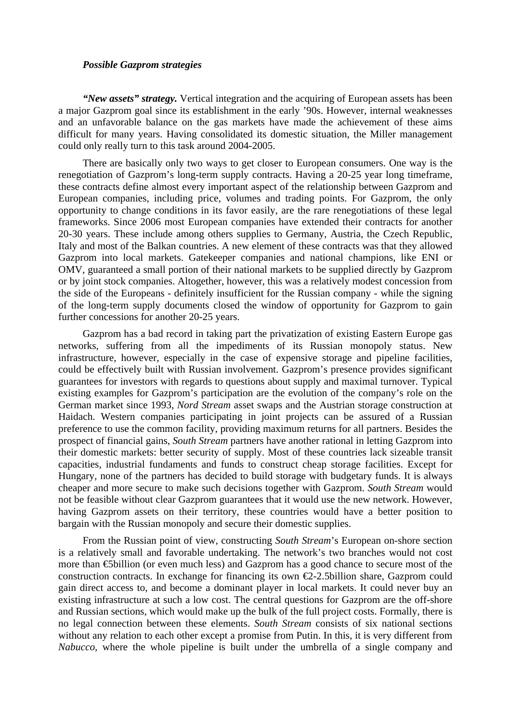# *Possible Gazprom strategies*

*"New assets" strategy.* Vertical integration and the acquiring of European assets has been a major Gazprom goal since its establishment in the early '90s. However, internal weaknesses and an unfavorable balance on the gas markets have made the achievement of these aims difficult for many years. Having consolidated its domestic situation, the Miller management could only really turn to this task around 2004-2005.

There are basically only two ways to get closer to European consumers. One way is the renegotiation of Gazprom's long-term supply contracts. Having a 20-25 year long timeframe, these contracts define almost every important aspect of the relationship between Gazprom and European companies, including price, volumes and trading points. For Gazprom, the only opportunity to change conditions in its favor easily, are the rare renegotiations of these legal frameworks. Since 2006 most European companies have extended their contracts for another 20-30 years. These include among others supplies to Germany, Austria, the Czech Republic, Italy and most of the Balkan countries. A new element of these contracts was that they allowed Gazprom into local markets. Gatekeeper companies and national champions, like ENI or OMV, guaranteed a small portion of their national markets to be supplied directly by Gazprom or by joint stock companies. Altogether, however, this was a relatively modest concession from the side of the Europeans - definitely insufficient for the Russian company - while the signing of the long-term supply documents closed the window of opportunity for Gazprom to gain further concessions for another 20-25 years.

Gazprom has a bad record in taking part the privatization of existing Eastern Europe gas networks, suffering from all the impediments of its Russian monopoly status. New infrastructure, however, especially in the case of expensive storage and pipeline facilities, could be effectively built with Russian involvement. Gazprom's presence provides significant guarantees for investors with regards to questions about supply and maximal turnover. Typical existing examples for Gazprom's participation are the evolution of the company's role on the German market since 1993, *Nord Stream* asset swaps and the Austrian storage construction at Haidach. Western companies participating in joint projects can be assured of a Russian preference to use the common facility, providing maximum returns for all partners. Besides the prospect of financial gains, *South Stream* partners have another rational in letting Gazprom into their domestic markets: better security of supply. Most of these countries lack sizeable transit capacities, industrial fundaments and funds to construct cheap storage facilities. Except for Hungary, none of the partners has decided to build storage with budgetary funds. It is always cheaper and more secure to make such decisions together with Gazprom. *South Stream* would not be feasible without clear Gazprom guarantees that it would use the new network. However, having Gazprom assets on their territory, these countries would have a better position to bargain with the Russian monopoly and secure their domestic supplies.

From the Russian point of view, constructing *South Stream*'s European on-shore section is a relatively small and favorable undertaking. The network's two branches would not cost more than €5billion (or even much less) and Gazprom has a good chance to secure most of the construction contracts. In exchange for financing its own  $\epsilon$ 2-2.5billion share, Gazprom could gain direct access to, and become a dominant player in local markets. It could never buy an existing infrastructure at such a low cost. The central questions for Gazprom are the off-shore and Russian sections, which would make up the bulk of the full project costs. Formally, there is no legal connection between these elements. *South Stream* consists of six national sections without any relation to each other except a promise from Putin. In this, it is very different from *Nabucco*, where the whole pipeline is built under the umbrella of a single company and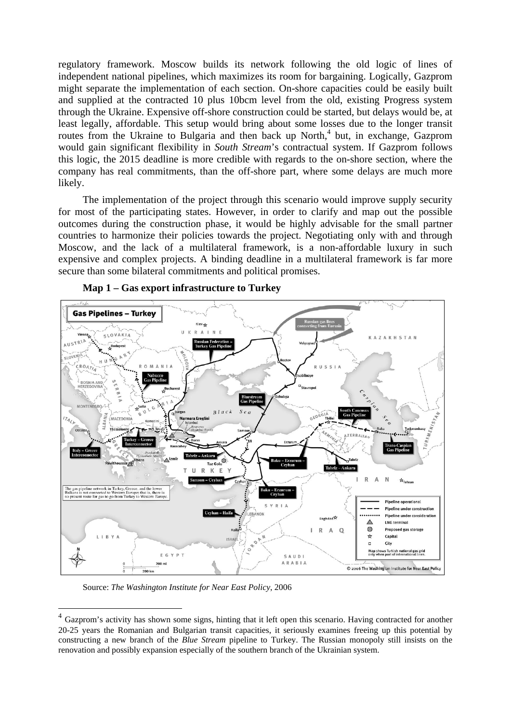regulatory framework. Moscow builds its network following the old logic of lines of independent national pipelines, which maximizes its room for bargaining. Logically, Gazprom might separate the implementation of each section. On-shore capacities could be easily built and supplied at the contracted 10 plus 10bcm level from the old, existing Progress system through the Ukraine. Expensive off-shore construction could be started, but delays would be, at least legally, affordable. This setup would bring about some losses due to the longer transit routes from the Ukraine to Bulgaria and then back up North,<sup>4</sup> but, in exchange, Gazprom would gain significant flexibility in *South Stream's* contractual system. If Gazprom follows this logic, the 2015 deadline is more credible with regards to the on-shore section, where the company has real commitments, than the off-shore part, where some delays are much more likely.

The implementation of the project through this scenario would improve supply security for most of the participating states. However, in order to clarify and map out the possible outcomes during the construction phase, it would be highly advisable for the small partner countries to harmonize their policies towards the project. Negotiating only with and through Moscow, and the lack of a multilateral framework, is a non-affordable luxury in such expensive and complex projects. A binding deadline in a multilateral framework is far more secure than some bilateral commitments and political promises.



**Map 1 – Gas export infrastructure to Turkey** 

Source: *The Washington Institute for Near East Policy*, 2006

<sup>&</sup>lt;sup>4</sup> Gazprom's activity has shown some signs, hinting that it left open this scenario. Having contracted for another 20-25 years the Romanian and Bulgarian transit capacities, it seriously examines freeing up this potential by constructing a new branch of the *Blue Stream* pipeline to Turkey. The Russian monopoly still insists on the renovation and possibly expansion especially of the southern branch of the Ukrainian system.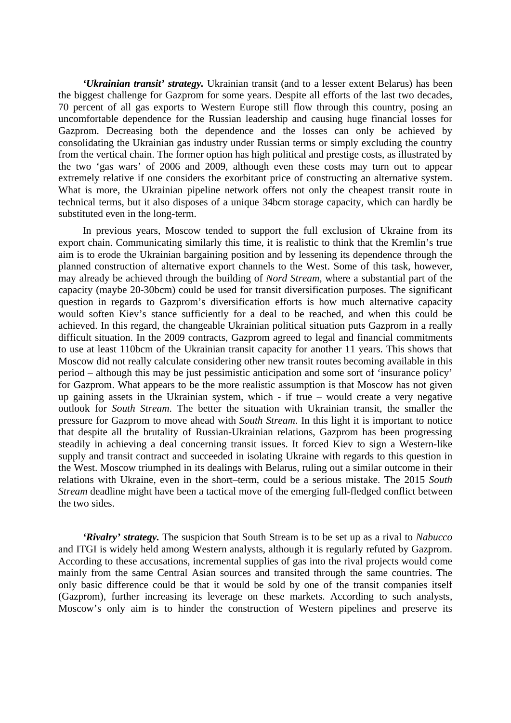*'Ukrainian transit' strategy.* Ukrainian transit (and to a lesser extent Belarus) has been the biggest challenge for Gazprom for some years. Despite all efforts of the last two decades, 70 percent of all gas exports to Western Europe still flow through this country, posing an uncomfortable dependence for the Russian leadership and causing huge financial losses for Gazprom. Decreasing both the dependence and the losses can only be achieved by consolidating the Ukrainian gas industry under Russian terms or simply excluding the country from the vertical chain. The former option has high political and prestige costs, as illustrated by the two 'gas wars' of 2006 and 2009, although even these costs may turn out to appear extremely relative if one considers the exorbitant price of constructing an alternative system. What is more, the Ukrainian pipeline network offers not only the cheapest transit route in technical terms, but it also disposes of a unique 34bcm storage capacity, which can hardly be substituted even in the long-term.

In previous years, Moscow tended to support the full exclusion of Ukraine from its export chain. Communicating similarly this time, it is realistic to think that the Kremlin's true aim is to erode the Ukrainian bargaining position and by lessening its dependence through the planned construction of alternative export channels to the West. Some of this task, however, may already be achieved through the building of *Nord Stream*, where a substantial part of the capacity (maybe 20-30bcm) could be used for transit diversification purposes. The significant question in regards to Gazprom's diversification efforts is how much alternative capacity would soften Kiev's stance sufficiently for a deal to be reached, and when this could be achieved. In this regard, the changeable Ukrainian political situation puts Gazprom in a really difficult situation. In the 2009 contracts, Gazprom agreed to legal and financial commitments to use at least 110bcm of the Ukrainian transit capacity for another 11 years. This shows that Moscow did not really calculate considering other new transit routes becoming available in this period – although this may be just pessimistic anticipation and some sort of 'insurance policy' for Gazprom. What appears to be the more realistic assumption is that Moscow has not given up gaining assets in the Ukrainian system, which - if true – would create a very negative outlook for *South Stream*. The better the situation with Ukrainian transit, the smaller the pressure for Gazprom to move ahead with *South Stream*. In this light it is important to notice that despite all the brutality of Russian-Ukrainian relations, Gazprom has been progressing steadily in achieving a deal concerning transit issues. It forced Kiev to sign a Western-like supply and transit contract and succeeded in isolating Ukraine with regards to this question in the West. Moscow triumphed in its dealings with Belarus, ruling out a similar outcome in their relations with Ukraine, even in the short–term, could be a serious mistake. The 2015 *South Stream* deadline might have been a tactical move of the emerging full-fledged conflict between the two sides.

*'Rivalry' strategy.* The suspicion that South Stream is to be set up as a rival to *Nabucco* and ITGI is widely held among Western analysts, although it is regularly refuted by Gazprom. According to these accusations, incremental supplies of gas into the rival projects would come mainly from the same Central Asian sources and transited through the same countries. The only basic difference could be that it would be sold by one of the transit companies itself (Gazprom), further increasing its leverage on these markets. According to such analysts, Moscow's only aim is to hinder the construction of Western pipelines and preserve its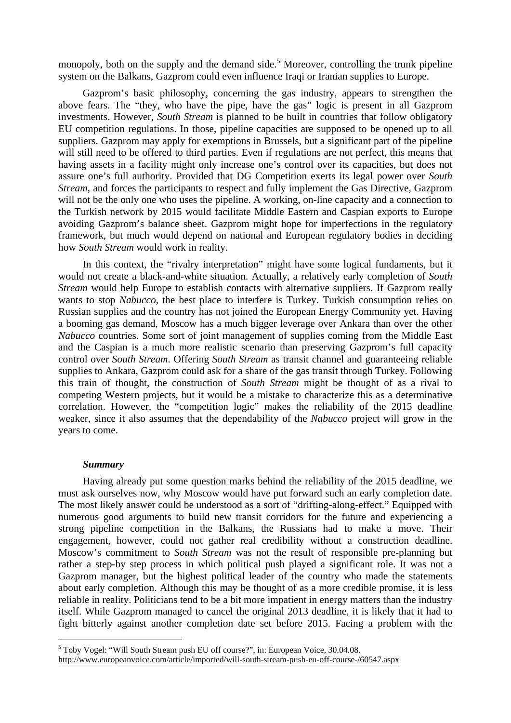monopoly, both on the supply and the demand side.<sup>5</sup> Moreover, controlling the trunk pipeline system on the Balkans, Gazprom could even influence Iraqi or Iranian supplies to Europe.

Gazprom's basic philosophy, concerning the gas industry, appears to strengthen the above fears. The "they, who have the pipe, have the gas" logic is present in all Gazprom investments. However, *South Stream* is planned to be built in countries that follow obligatory EU competition regulations. In those, pipeline capacities are supposed to be opened up to all suppliers. Gazprom may apply for exemptions in Brussels, but a significant part of the pipeline will still need to be offered to third parties. Even if regulations are not perfect, this means that having assets in a facility might only increase one's control over its capacities, but does not assure one's full authority. Provided that DG Competition exerts its legal power over *South Stream*, and forces the participants to respect and fully implement the Gas Directive, Gazprom will not be the only one who uses the pipeline. A working, on-line capacity and a connection to the Turkish network by 2015 would facilitate Middle Eastern and Caspian exports to Europe avoiding Gazprom's balance sheet. Gazprom might hope for imperfections in the regulatory framework, but much would depend on national and European regulatory bodies in deciding how *South Stream* would work in reality.

In this context, the "rivalry interpretation" might have some logical fundaments, but it would not create a black-and-white situation. Actually, a relatively early completion of *South Stream* would help Europe to establish contacts with alternative suppliers. If Gazprom really wants to stop *Nabucco*, the best place to interfere is Turkey. Turkish consumption relies on Russian supplies and the country has not joined the European Energy Community yet. Having a booming gas demand, Moscow has a much bigger leverage over Ankara than over the other *Nabucco* countries. Some sort of joint management of supplies coming from the Middle East and the Caspian is a much more realistic scenario than preserving Gazprom's full capacity control over *South Stream*. Offering *South Stream* as transit channel and guaranteeing reliable supplies to Ankara, Gazprom could ask for a share of the gas transit through Turkey. Following this train of thought, the construction of *South Stream* might be thought of as a rival to competing Western projects, but it would be a mistake to characterize this as a determinative correlation. However, the "competition logic" makes the reliability of the 2015 deadline weaker, since it also assumes that the dependability of the *Nabucco* project will grow in the years to come.

# *Summary*

 $\overline{a}$ 

Having already put some question marks behind the reliability of the 2015 deadline, we must ask ourselves now, why Moscow would have put forward such an early completion date. The most likely answer could be understood as a sort of "drifting-along-effect." Equipped with numerous good arguments to build new transit corridors for the future and experiencing a strong pipeline competition in the Balkans, the Russians had to make a move. Their engagement, however, could not gather real credibility without a construction deadline. Moscow's commitment to *South Stream* was not the result of responsible pre-planning but rather a step-by step process in which political push played a significant role. It was not a Gazprom manager, but the highest political leader of the country who made the statements about early completion. Although this may be thought of as a more credible promise, it is less reliable in reality. Politicians tend to be a bit more impatient in energy matters than the industry itself. While Gazprom managed to cancel the original 2013 deadline, it is likely that it had to fight bitterly against another completion date set before 2015. Facing a problem with the

<sup>&</sup>lt;sup>5</sup> Toby Vogel: "Will South Stream push EU off course?", in: European Voice, 30.04.08. http://www.europeanvoice.com/article/imported/will-south-stream-push-eu-off-course-/60547.aspx